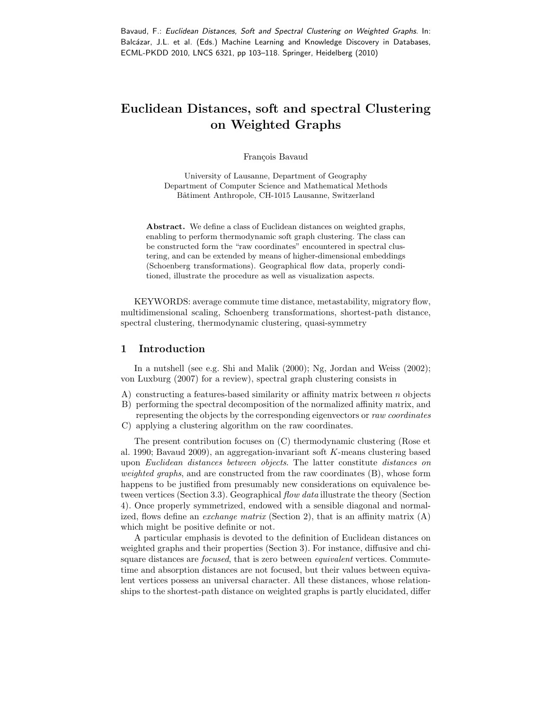# Euclidean Distances, soft and spectral Clustering on Weighted Graphs

François Bavaud

University of Lausanne, Department of Geography Department of Computer Science and Mathematical Methods Bâtiment Anthropole, CH-1015 Lausanne, Switzerland

Abstract. We define a class of Euclidean distances on weighted graphs, enabling to perform thermodynamic soft graph clustering. The class can be constructed form the "raw coordinates" encountered in spectral clustering, and can be extended by means of higher-dimensional embeddings (Schoenberg transformations). Geographical flow data, properly conditioned, illustrate the procedure as well as visualization aspects.

KEYWORDS: average commute time distance, metastability, migratory flow, multidimensional scaling, Schoenberg transformations, shortest-path distance, spectral clustering, thermodynamic clustering, quasi-symmetry

# 1 Introduction

In a nutshell (see e.g. Shi and Malik (2000); Ng, Jordan and Weiss (2002); von Luxburg (2007) for a review), spectral graph clustering consists in

- A) constructing a features-based similarity or affinity matrix between  $n$  objects
- B) performing the spectral decomposition of the normalized affinity matrix, and
- representing the objects by the corresponding eigenvectors or raw coordinates C) applying a clustering algorithm on the raw coordinates.

The present contribution focuses on (C) thermodynamic clustering (Rose et al. 1990; Bavaud 2009), an aggregation-invariant soft K-means clustering based upon Euclidean distances between objects. The latter constitute distances on weighted graphs, and are constructed from the raw coordinates (B), whose form happens to be justified from presumably new considerations on equivalence between vertices (Section 3.3). Geographical flow data illustrate the theory (Section 4). Once properly symmetrized, endowed with a sensible diagonal and normalized, flows define an *exchange matrix* (Section 2), that is an affinity matrix  $(A)$ which might be positive definite or not.

A particular emphasis is devoted to the definition of Euclidean distances on weighted graphs and their properties (Section 3). For instance, diffusive and chisquare distances are *focused*, that is zero between *equivalent* vertices. Commutetime and absorption distances are not focused, but their values between equivalent vertices possess an universal character. All these distances, whose relationships to the shortest-path distance on weighted graphs is partly elucidated, differ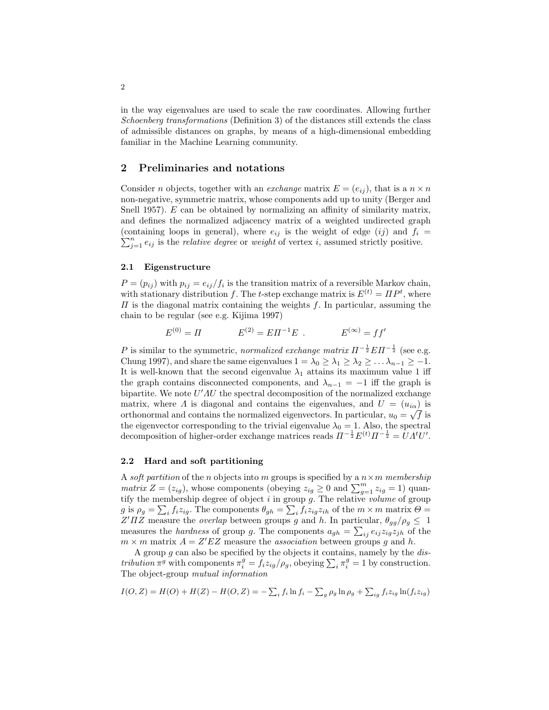in the way eigenvalues are used to scale the raw coordinates. Allowing further Schoenberg transformations (Definition 3) of the distances still extends the class of admissible distances on graphs, by means of a high-dimensional embedding familiar in the Machine Learning community.

# 2 Preliminaries and notations

Consider n objects, together with an *exchange* matrix  $E = (e_{ij})$ , that is a  $n \times n$ non-negative, symmetric matrix, whose components add up to unity (Berger and Snell 1957). E can be obtained by normalizing an affinity of similarity matrix, and defines the normalized adjacency matrix of a weighted undirected graph  $\sum_{j=1}^{n} e_{ij}$  is the *relative degree* or *weight* of vertex *i*, assumed strictly positive. (containing loops in general), where  $e_{ij}$  is the weight of edge (ij) and  $f_i =$ 

### 2.1 Eigenstructure

 $P = (p_{ij})$  with  $p_{ij} = e_{ij}/f_i$  is the transition matrix of a reversible Markov chain, with stationary distribution f. The t-step exchange matrix is  $E^{(t)} = \Pi P^t$ , where  $\Pi$  is the diagonal matrix containing the weights f. In particular, assuming the chain to be regular (see e.g. Kijima 1997)

$$
E^{(0)} = \Pi
$$
  $E^{(2)} = E\Pi^{-1}E$ .  $E^{(\infty)} = ff'$ 

P is similar to the symmetric, normalized exchange matrix  $\Pi^{-\frac{1}{2}} E \Pi^{-\frac{1}{2}}$  (see e.g. Chung 1997), and share the same eigenvalues  $1 = \lambda_0 \geq \lambda_1 \geq \lambda_2 \geq \ldots \lambda_{n-1} \geq -1$ . It is well-known that the second eigenvalue  $\lambda_1$  attains its maximum value 1 iff the graph contains disconnected components, and  $\lambda_{n-1} = -1$  iff the graph is bipartite. We note  $U'AU$  the spectral decomposition of the normalized exchange matrix, where  $\Lambda$  is diagonal and contains the eigenvalues, and  $U = (u_{i\alpha})$  is orthonormal and contains the normalized eigenvectors. In particular,  $u_0 = \sqrt{f}$  is the eigenvector corresponding to the trivial eigenvalue  $\lambda_0 = 1$ . Also, the spectral decomposition of higher-order exchange matrices reads  $\Pi^{-\frac{1}{2}}E^{(t)}\Pi^{-\frac{1}{2}} = UA^tU'.$ 

#### 2.2 Hard and soft partitioning

A soft partition of the n objects into m groups is specified by a  $n \times m$  membership *matrix*  $Z = (z_{ig})$ , whose components (obeying  $z_{ig} \geq 0$  and  $\sum_{g=1}^{m} z_{ig} = 1$ ) quantify the membership degree of object  $\hat{i}$  in group g. The relative volume of group g is  $\rho_g = \sum_i f_i z_{ig}$ . The components  $\theta_{gh} = \sum_i f_i z_{ig} z_{ih}$  of the  $m \times m$  matrix  $\Theta =$ Z'ΠZ measure the *overlap* between groups g and h. In particular,  $\theta_{gg}/\rho_g \leq 1$ measures the *hardness* of group g. The components  $a_{gh} = \sum_{ij} e_{ij} z_{ig} z_{jh}$  of the  $m \times m$  matrix  $A = Z'EZ$  measure the *association* between groups g and h.

A group  $g$  can also be specified by the objects it contains, namely by the  $dis$ tribution  $\pi^g$  with components  $\pi_i^g = f_i z_{ig}/\rho_g$ , obeying  $\sum_i \pi_i^g = 1$  by construction. The object-group mutual information

$$
I(O, Z) = H(O) + H(Z) - H(O, Z) = -\sum_{i} f_i \ln f_i - \sum_{g} \rho_g \ln \rho_g + \sum_{ig} f_i z_{ig} \ln(f_i z_{ig})
$$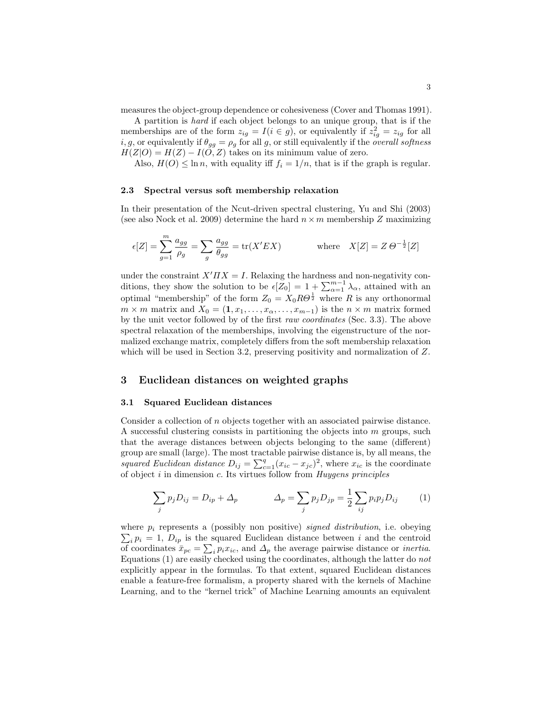measures the object-group dependence or cohesiveness (Cover and Thomas 1991).

A partition is hard if each object belongs to an unique group, that is if the memberships are of the form  $z_{ig} = I(i \in g)$ , or equivalently if  $z_{ig}^2 = z_{ig}$  for all *i*, g, or equivalently if  $\theta_{gg} = \rho_g$  for all g, or still equivalently if the *overall softness*  $H(Z|O) = H(Z) - I(O, Z)$  takes on its minimum value of zero.

Also,  $H(O) \leq \ln n$ , with equality iff  $f_i = 1/n$ , that is if the graph is regular.

### 2.3 Spectral versus soft membership relaxation

In their presentation of the Ncut-driven spectral clustering, Yu and Shi (2003) (see also Nock et al. 2009) determine the hard  $n \times m$  membership Z maximizing

$$
\epsilon[Z] = \sum_{g=1}^{m} \frac{a_{gg}}{\rho_g} = \sum_{g} \frac{a_{gg}}{\theta_{gg}} = \text{tr}(X'EX) \quad \text{where} \quad X[Z] = Z \Theta^{-\frac{1}{2}}[Z]
$$

under the constraint  $X' \Pi X = I$ . Relaxing the hardness and non-negativity conditions, they show the solution to be  $\epsilon[\bar{Z}_0] = 1 + \sum_{\alpha=1}^{m-1} \lambda_\alpha$ , attained with an optimal "membership" of the form  $Z_0 = X_0 R \Theta^{\frac{1}{2}}$  where R is any orthonormal  $m \times m$  matrix and  $X_0 = (1, x_1, \ldots, x_{\alpha}, \ldots, x_{m-1})$  is the  $n \times m$  matrix formed by the unit vector followed by of the first raw coordinates (Sec. 3.3). The above spectral relaxation of the memberships, involving the eigenstructure of the normalized exchange matrix, completely differs from the soft membership relaxation which will be used in Section 3.2, preserving positivity and normalization of Z.

# 3 Euclidean distances on weighted graphs

### 3.1 Squared Euclidean distances

Consider a collection of n objects together with an associated pairwise distance. A successful clustering consists in partitioning the objects into  $m$  groups, such that the average distances between objects belonging to the same (different) group are small (large). The most tractable pairwise distance is, by all means, the squared Euclidean distance  $D_{ij} = \sum_{c=1}^{q} (x_{ic} - x_{jc})^2$ , where  $x_{ic}$  is the coordinate of object  $i$  in dimension  $c$ . Its virtues follow from Huygens principles

$$
\sum_{j} p_{j} D_{ij} = D_{ip} + \Delta_{p} \qquad \Delta_{p} = \sum_{j} p_{j} D_{jp} = \frac{1}{2} \sum_{ij} p_{i} p_{j} D_{ij} \qquad (1)
$$

where  $p_i$  represents a (possibly non positive) *signed distribution*, i.e. obeying  $\sum_i p_i = 1$ ,  $D_{ip}$  is the squared Euclidean distance between i and the centroid of coordinates  $\bar{x}_{pc} = \sum_i p_i x_{ic}$ , and  $\Delta_p$  the average pairwise distance or *inertia*. Equations (1) are easily checked using the coordinates, although the latter do not explicitly appear in the formulas. To that extent, squared Euclidean distances enable a feature-free formalism, a property shared with the kernels of Machine Learning, and to the "kernel trick" of Machine Learning amounts an equivalent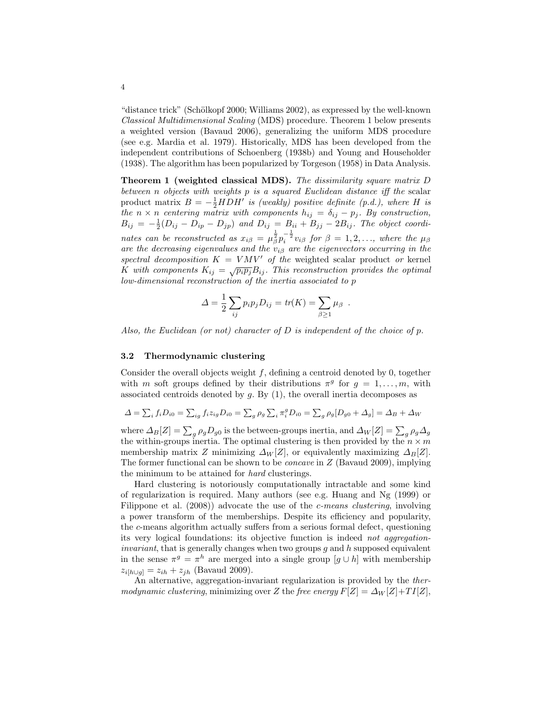"distance trick" (Schölkopf 2000; Williams 2002), as expressed by the well-known Classical Multidimensional Scaling (MDS) procedure. Theorem 1 below presents a weighted version (Bavaud 2006), generalizing the uniform MDS procedure (see e.g. Mardia et al. 1979). Historically, MDS has been developed from the independent contributions of Schoenberg (1938b) and Young and Householder (1938). The algorithm has been popularized by Torgeson (1958) in Data Analysis.

Theorem 1 (weighted classical MDS). The dissimilarity square matrix D between n objects with weights p is a squared Euclidean distance iff the scalar product matrix  $B = -\frac{1}{2} H D H'$  is (weakly) positive definite (p.d.), where H is the  $n \times n$  centering matrix with components  $h_{ij} = \delta_{ij} - p_j$ . By construction,  $B_{ij} = -\frac{1}{2}(D_{ij} - D_{ip} - D_{jp})$  and  $D_{ij} = B_{ii} + B_{jj} - 2B_{ij}$ . The object coordinates can be reconstructed as  $x_{i\beta} = \mu_{\beta}^{\frac{1}{2}} p_i^{-\frac{1}{2}} v_{i\beta}$  for  $\beta = 1, 2, \ldots$ , where the  $\mu_{\beta}$ are the decreasing eigenvalues and the  $v_{i\beta}$  are the eigenvectors occurring in the spectral decomposition  $K = VMV'$  of the weighted scalar product or kernel K with composition  $K = \sqrt{p_i p_j} B_{ij}$ . This reconstruction provides the optimal low-dimensional reconstruction of the inertia associated to p

$$
\Delta = \frac{1}{2} \sum_{ij} p_i p_j D_{ij} = tr(K) = \sum_{\beta \ge 1} \mu_\beta.
$$

Also, the Euclidean (or not) character of D is independent of the choice of p.

### 3.2 Thermodynamic clustering

Consider the overall objects weight  $f$ , defining a centroid denoted by 0, together with m soft groups defined by their distributions  $\pi^g$  for  $g = 1, \ldots, m$ , with associated centroids denoted by  $g$ . By  $(1)$ , the overall inertia decomposes as

$$
\Delta = \sum_{i} f_i D_{i0} = \sum_{ig} f_i z_{ig} D_{i0} = \sum_{g} \rho_g \sum_{i} \pi_i^g D_{i0} = \sum_{g} \rho_g [D_{g0} + \Delta_g] = \Delta_B + \Delta_W
$$

where  $\Delta_B[Z] = \sum_g \rho_g D_{g0}$  is the between-groups inertia, and  $\Delta_W[Z] = \sum_g \rho_g \Delta_g$ the within-groups inertia. The optimal clustering is then provided by the  $n \times m$ membership matrix Z minimizing  $\Delta_W[Z]$ , or equivalently maximizing  $\Delta_B[Z]$ . The former functional can be shown to be concave in Z (Bavaud 2009), implying the minimum to be attained for hard clusterings.

Hard clustering is notoriously computationally intractable and some kind of regularization is required. Many authors (see e.g. Huang and Ng (1999) or Filippone et al. (2008)) advocate the use of the *c*-means clustering, involving a power transform of the memberships. Despite its efficiency and popularity, the c-means algorithm actually suffers from a serious formal defect, questioning its very logical foundations: its objective function is indeed not aggregation*invariant*, that is generally changes when two groups  $q$  and  $h$  supposed equivalent in the sense  $\pi^g = \pi^h$  are merged into a single group  $[g \cup h]$  with membership  $z_{i[h\cup q]} = z_{ih} + z_{jh}$  (Bavaud 2009).

An alternative, aggregation-invariant regularization is provided by the thermodynamic clustering, minimizing over Z the free energy  $F[Z] = \Delta_W[Z] + TI[Z]$ ,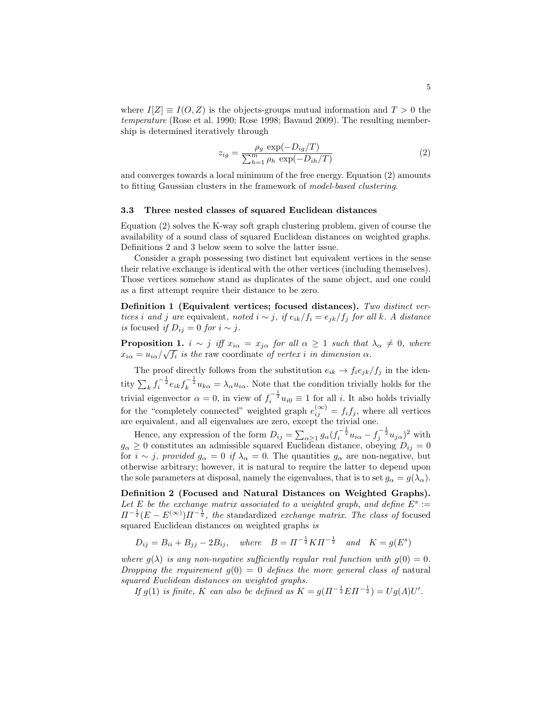where  $I(Z) \equiv I(O, Z)$  is the objects-groups mutual information and  $T > 0$  the temperature (Rose et al. 1990; Rose 1998; Bavaud 2009). The resulting membership is determined iteratively through

$$
z_{ig} = \frac{\rho_g \exp(-D_{ig}/T)}{\sum_{h=1}^{m} \rho_h \exp(-D_{ih}/T)}
$$
(2)

and converges towards a local minimum of the free energy. Equation (2) amounts to fitting Gaussian clusters in the framework of model-based clustering.

#### 3.3 Three nested classes of squared Euclidean distances

Equation (2) solves the K-way soft graph clustering problem, given of course the availability of a sound class of squared Euclidean distances on weighted graphs. Definitions 2 and 3 below seem to solve the latter issue.

Consider a graph possessing two distinct but equivalent vertices in the sense their relative exchange is identical with the other vertices (including themselves). Those vertices somehow stand as duplicates of the same object, and one could as a first attempt require their distance to be zero.

Definition 1 (Equivalent vertices; focused distances). Two distinct vertices i and j are equivalent, noted  $i \sim j$ , if  $e_{ik}/f_i = e_{jk}/f_j$  for all k. A distance is focused if  $D_{ij} = 0$  for  $i \sim j$ .

**Proposition 1.**  $i \sim j$  iff  $x_{i\alpha} = x_{j\alpha}$  for all  $\alpha \geq 1$  such that  $\lambda_{\alpha} \neq 0$ , where  $x_{i\alpha} = u_{i\alpha}/\sqrt{f_i}$  is the raw coordinate of vertex i in dimension  $\alpha$ .

The proof directly follows from the substitution  $e_{ik} \rightarrow f_i e_{jk}/f_j$  in the identity  $\sum_k f_i^{-\frac{1}{2}} e_{ik} f_k^{-\frac{1}{2}} u_{k\alpha} = \lambda_\alpha u_{i\alpha}$ . Note that the condition trivially holds for the trivial eigenvector  $\alpha = 0$ , in view of  $f_i^{-\frac{1}{2}} u_{i0} \equiv 1$  for all *i*. It also holds trivially for the "completely connected" weighted graph  $e_{ij}^{(\infty)} = f_i f_j$ , where all vertices are equivalent, and all eigenvalues are zero, except the trivial one.

Hence, any expression of the form  $D_{ij} = \sum_{\alpha \geq 1} g_{\alpha} (f_i^{-\frac{1}{2}} u_{i\alpha} - f_j^{-\frac{1}{2}} u_{j\alpha})^2$  with  $g_{\alpha} \geq 0$  constitutes an admissible squared Euclidean distance, obeying  $D_{ij} = 0$ for  $i \sim j$ , provided  $g_{\alpha} = 0$  if  $\lambda_{\alpha} = 0$ . The quantities  $g_{\alpha}$  are non-negative, but otherwise arbitrary; however, it is natural to require the latter to depend upon the sole parameters at disposal, namely the eigenvalues, that is to set  $g_{\alpha} = g(\lambda_{\alpha})$ .

Definition 2 (Focused and Natural Distances on Weighted Graphs). Let E be the exchange matrix associated to a weighted graph, and define  $E^s$  :=  $\Pi^{-\frac{1}{2}}(E-E^{(\infty)})\Pi^{-\frac{1}{2}}$ , the standardized exchange matrix. The class of focused squared Euclidean distances on weighted graphs is

$$
D_{ij} = B_{ii} + B_{jj} - 2B_{ij}
$$
, where  $B = \Pi^{-\frac{1}{2}} K \Pi^{-\frac{1}{2}}$  and  $K = g(E^s)$ 

where  $g(\lambda)$  is any non-negative sufficiently regular real function with  $g(0) = 0$ . Dropping the requirement  $q(0) = 0$  defines the more general class of natural squared Euclidean distances on weighted graphs.

If  $g(1)$  is finite, K can also be defined as  $K = g(\Pi^{-\frac{1}{2}} E \Pi^{-\frac{1}{2}}) = Ug(\Lambda)U'$ .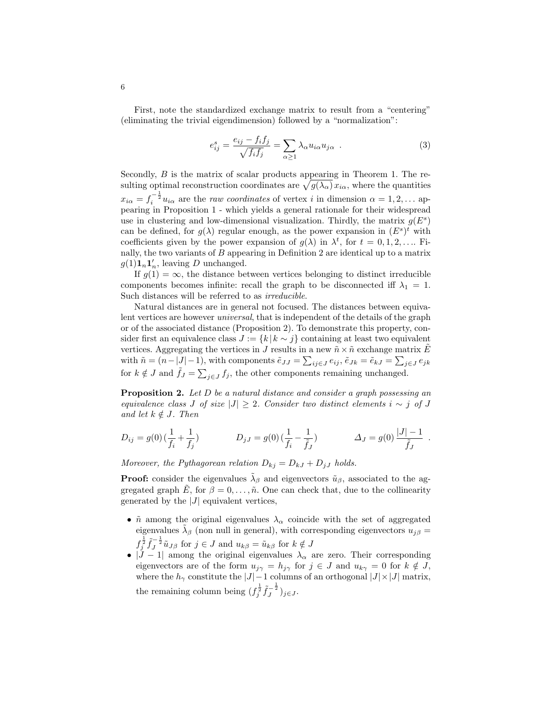First, note the standardized exchange matrix to result from a "centering" (eliminating the trivial eigendimension) followed by a "normalization":

$$
e_{ij}^s = \frac{e_{ij} - f_i f_j}{\sqrt{f_i f_j}} = \sum_{\alpha \ge 1} \lambda_\alpha u_{i\alpha} u_{j\alpha} . \tag{3}
$$

Secondly, B is the matrix of scalar products appearing in Theorem 1. The resulting optimal reconstruction coordinates are  $\sqrt{g(\lambda_{\alpha})}\,x_{i\alpha}$ , where the quantities  $x_{i\alpha} = f_i^{-\frac{1}{2}} u_{i\alpha}$  are the *raw coordinates* of vertex *i* in dimension  $\alpha = 1, 2, ...$  appearing in Proposition 1 - which yields a general rationale for their widespread use in clustering and low-dimensional visualization. Thirdly, the matrix  $g(E^s)$ can be defined, for  $g(\lambda)$  regular enough, as the power expansion in  $(E^s)^t$  with coefficients given by the power expansion of  $g(\lambda)$  in  $\lambda^t$ , for  $t = 0, 1, 2, \dots$  Finally, the two variants of  $B$  appearing in Definition 2 are identical up to a matrix  $g(1)\mathbf{1}_n\mathbf{1}'_n$ , leaving D unchanged.

If  $g(1) = \infty$ , the distance between vertices belonging to distinct irreducible components becomes infinite: recall the graph to be disconnected iff  $\lambda_1 = 1$ . Such distances will be referred to as irreducible.

Natural distances are in general not focused. The distances between equivalent vertices are however universal, that is independent of the details of the graph or of the associated distance (Proposition 2). To demonstrate this property, consider first an equivalence class  $J := \{k | k \sim j\}$  containing at least two equivalent vertices. Aggregating the vertices in J results in a new  $\tilde{n} \times \tilde{n}$  exchange matrix  $\tilde{E}$ with  $\tilde{n} = (n-|J|-1)$ , with components  $\tilde{e}_{JJ} = \sum_{ij \in J} e_{ij}$ ,  $\tilde{e}_{Jk} = \tilde{e}_{kJ} = \sum_{j \in J} e_{jk}$ for  $k \notin J$  and  $\tilde{f}_J = \sum_{j \in J} f_j$ , the other components remaining unchanged.

**Proposition 2.** Let D be a natural distance and consider a graph possessing an equivalence class J of size  $|J| \geq 2$ . Consider two distinct elements  $i \sim j$  of J and let  $k \notin J$ . Then

$$
D_{ij} = g(0) \left( \frac{1}{f_i} + \frac{1}{f_j} \right) \qquad D_{jJ} = g(0) \left( \frac{1}{f_i} - \frac{1}{\tilde{f}_J} \right) \qquad \Delta_J = g(0) \frac{|J| - 1}{\tilde{f}_J} .
$$

Moreover, the Pythagorean relation  $D_{kj} = D_{kJ} + D_{jJ}$  holds.

**Proof:** consider the eigenvalues  $\tilde{\lambda}_{\beta}$  and eigenvectors  $\tilde{u}_{\beta}$ , associated to the aggregated graph  $\tilde{E}$ , for  $\beta = 0, \ldots, \tilde{n}$ . One can check that, due to the collinearity generated by the  $|J|$  equivalent vertices,

- $\tilde{n}$  among the original eigenvalues  $\lambda_{\alpha}$  coincide with the set of aggregated eigenvalues  $\tilde{\lambda}_{\beta}$  (non null in general), with corresponding eigenvectors  $u_{j\beta} =$  $f_j^{\frac{1}{2}} \tilde{f}_j^{-\frac{1}{2}} \tilde{u}_{J\beta}$  for  $j \in J$  and  $u_{k\beta} = \tilde{u}_{k\beta}$  for  $k \notin J$
- $|J 1|$  among the original eigenvalues  $\lambda_{\alpha}$  are zero. Their corresponding eigenvectors are of the form  $u_{j\gamma} = h_{j\gamma}$  for  $j \in J$  and  $u_{k\gamma} = 0$  for  $k \notin J$ , where the  $h_{\gamma}$  constitute the  $|J|-1$  columns of an orthogonal  $|J|\times|J|$  matrix, the remaining column being  $(f_j^{\frac{1}{2}} \tilde{f}_J^{-\frac{1}{2}})_{j \in J}$ .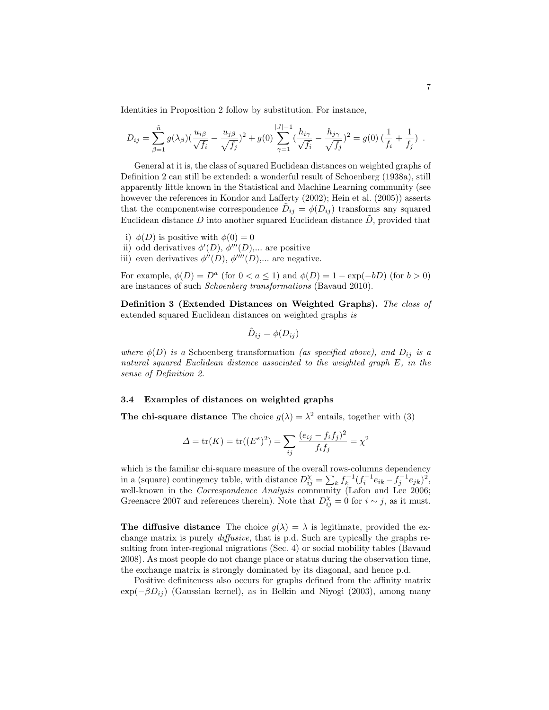Identities in Proposition 2 follow by substitution. For instance,

$$
D_{ij} = \sum_{\beta=1}^{\tilde{n}} g(\lambda_{\beta}) \left( \frac{u_{i\beta}}{\sqrt{f_i}} - \frac{u_{j\beta}}{\sqrt{f_j}} \right)^2 + g(0) \sum_{\gamma=1}^{|J|-1} \left( \frac{h_{i\gamma}}{\sqrt{f_i}} - \frac{h_{j\gamma}}{\sqrt{f_j}} \right)^2 = g(0) \left( \frac{1}{f_i} + \frac{1}{f_j} \right).
$$

General at it is, the class of squared Euclidean distances on weighted graphs of Definition 2 can still be extended: a wonderful result of Schoenberg (1938a), still apparently little known in the Statistical and Machine Learning community (see however the references in Kondor and Lafferty (2002); Hein et al. (2005)) asserts that the componentwise correspondence  $\tilde{D}_{ij} = \phi(D_{ij})$  transforms any squared Euclidean distance  $D$  into another squared Euclidean distance  $\tilde{D}$ , provided that

- i)  $\phi(D)$  is positive with  $\phi(0) = 0$
- ii) odd derivatives  $\phi'(D), \phi'''(D), \dots$  are positive
- iii) even derivatives  $\phi''(D)$ ,  $\phi'''(D)$ ,... are negative.

For example,  $\phi(D) = D^a$  (for  $0 < a \le 1$ ) and  $\phi(D) = 1 - \exp(-bD)$  (for  $b > 0$ ) are instances of such Schoenberg transformations (Bavaud 2010).

Definition 3 (Extended Distances on Weighted Graphs). The class of extended squared Euclidean distances on weighted graphs is

$$
\tilde{D}_{ij} = \phi(D_{ij})
$$

where  $\phi(D)$  is a Schoenberg transformation (as specified above), and  $D_{ij}$  is a natural squared Euclidean distance associated to the weighted graph E, in the sense of Definition 2.

### 3.4 Examples of distances on weighted graphs

**The chi-square distance** The choice  $g(\lambda) = \lambda^2$  entails, together with (3)

$$
\Delta = \text{tr}(K) = \text{tr}((E^s)^2) = \sum_{ij} \frac{(e_{ij} - f_i f_j)^2}{f_i f_j} = \chi^2
$$

which is the familiar chi-square measure of the overall rows-columns dependency in a (square) contingency table, with distance  $D_{ij}^{\chi} = \sum_{k} f_k^{-1} (f_i^{-1} e_{ik} - f_j^{-1} e_{jk})^2$ , well-known in the *Correspondence Analysis* community (Lafon and Lee 2006; Greenacre 2007 and references therein). Note that  $D_{ij}^{\chi} = 0$  for  $i \sim j$ , as it must.

The diffusive distance The choice  $g(\lambda) = \lambda$  is legitimate, provided the exchange matrix is purely diffusive, that is p.d. Such are typically the graphs resulting from inter-regional migrations (Sec. 4) or social mobility tables (Bavaud 2008). As most people do not change place or status during the observation time, the exchange matrix is strongly dominated by its diagonal, and hence p.d.

Positive definiteness also occurs for graphs defined from the affinity matrix  $\exp(-\beta D_{ij})$  (Gaussian kernel), as in Belkin and Niyogi (2003), among many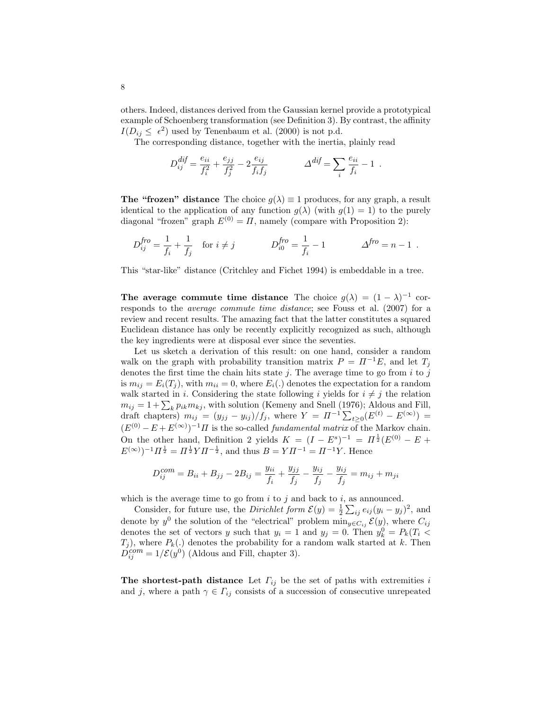others. Indeed, distances derived from the Gaussian kernel provide a prototypical example of Schoenberg transformation (see Definition 3). By contrast, the affinity  $I(D_{ij} \leq \epsilon^2)$  used by Tenenbaum et al. (2000) is not p.d.

The corresponding distance, together with the inertia, plainly read

$$
D_{ij}^{dif} = \frac{e_{ii}}{f_i^2} + \frac{e_{jj}}{f_j^2} - 2\frac{e_{ij}}{f_i f_j} \qquad \Delta^{dif} = \sum_i \frac{e_{ii}}{f_i} - 1 \ .
$$

**The "frozen" distance** The choice  $g(\lambda) \equiv 1$  produces, for any graph, a result identical to the application of any function  $g(\lambda)$  (with  $g(1) = 1$ ) to the purely diagonal "frozen" graph  $E^{(0)} = \Pi$ , namely (compare with Proposition 2):

$$
D_{ij}^{fro} = \frac{1}{f_i} + \frac{1}{f_j} \quad \text{for } i \neq j \qquad D_{i0}^{fro} = \frac{1}{f_i} - 1 \qquad \Delta^{fro} = n - 1 \ .
$$

This "star-like" distance (Critchley and Fichet 1994) is embeddable in a tree.

The average commute time distance The choice  $g(\lambda) = (1 - \lambda)^{-1}$  corresponds to the average commute time distance; see Fouss et al. (2007) for a review and recent results. The amazing fact that the latter constitutes a squared Euclidean distance has only be recently explicitly recognized as such, although the key ingredients were at disposal ever since the seventies.

Let us sketch a derivation of this result: on one hand, consider a random walk on the graph with probability transition matrix  $P = \Pi^{-1}E$ , and let  $T_i$ denotes the first time the chain hits state  $j$ . The average time to go from  $i$  to  $j$ is  $m_{ij} = E_i(T_j)$ , with  $m_{ii} = 0$ , where  $E_i(.)$  denotes the expectation for a random walk started in i. Considering the state following i yields for  $i \neq j$  the relation  $m_{ij} = 1 + \sum_k p_{ik} m_{kj}$ , with solution (Kemeny and Snell (1976); Aldous and Fill, draft chapters)  $m_{ij} = (y_{jj} - y_{ij})/f_j$ , where  $Y = \Pi^{-1} \sum_{t \geq 0} (E^{(t)} - E^{(\infty)}) =$  $(E^{(0)} - E + E^{(\infty)})^{-1}$ *H* is the so-called *fundamental matrix* of the Markov chain. On the other hand, Definition 2 yields  $K = (I - E^s)^{-1} = \Pi^{\frac{1}{2}}(E^{(0)} - E +$  $(E^{(\infty)})^{-1}\Pi^{\frac{1}{2}} = \Pi^{\frac{1}{2}} Y \Pi^{-\frac{1}{2}}$ , and thus  $B = Y \Pi^{-1} = \Pi^{-1} Y$ . Hence

$$
D_{ij}^{com} = B_{ii} + B_{jj} - 2B_{ij} = \frac{y_{ii}}{f_i} + \frac{y_{jj}}{f_j} - \frac{y_{ij}}{f_j} - \frac{y_{ij}}{f_j} = m_{ij} + m_{ji}
$$

which is the average time to go from  $i$  to  $j$  and back to  $i$ , as announced.

Consider, for future use, the *Dirichlet form*  $\mathcal{E}(y) = \frac{1}{2} \sum_{ij} e_{ij} (y_i - y_j)^2$ , and denote by  $y^0$  the solution of the "electrical" problem  $\min_{y \in C_{ij}} \mathcal{E}(y)$ , where  $C_{ij}$ denotes the set of vectors y such that  $y_i = 1$  and  $y_j = 0$ . Then  $y_k^0 = P_k(T_i \leq$  $T_i$ ), where  $P_k(.)$  denotes the probability for a random walk started at k. Then  $D_{ij}^{com} = 1/\mathcal{E}(y^{0})$  (Aldous and Fill, chapter 3).

The shortest-path distance Let  $\Gamma_{ij}$  be the set of paths with extremities i and j, where a path  $\gamma \in \Gamma_{ij}$  consists of a succession of consecutive unrepeated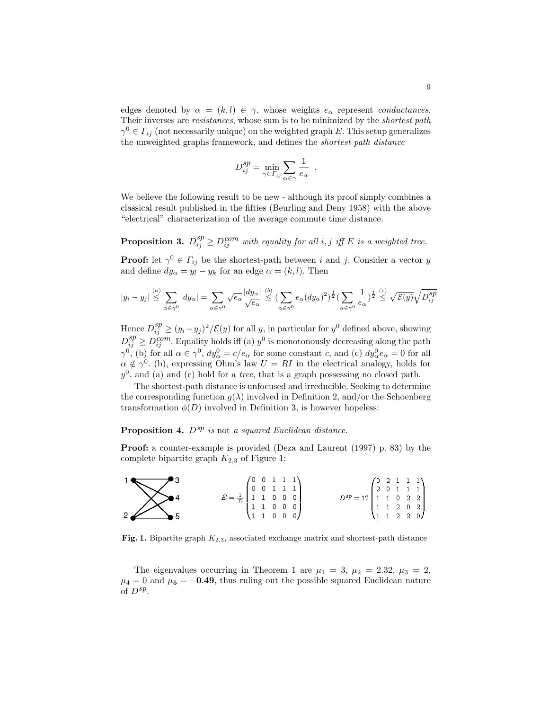edges denoted by  $\alpha = (k, l) \in \gamma$ , whose weights  $e_{\alpha}$  represent *conductances*. Their inverses are *resistances*, whose sum is to be minimized by the *shortest path*  $\gamma^0 \in \Gamma_{ij}$  (not necessarily unique) on the weighted graph E. This setup generalizes the unweighted graphs framework, and defines the shortest path distance

$$
D_{ij}^{sp} = \min_{\gamma \in \Gamma_{ij}} \sum_{\alpha \in \gamma} \frac{1}{e_{\alpha}}
$$

.

We believe the following result to be new - although its proof simply combines a classical result published in the fifties (Beurling and Deny 1958) with the above "electrical" characterization of the average commute time distance.

**Proposition 3.**  $D_{ij}^{sp} \ge D_{ij}^{com}$  with equality for all i, j iff E is a weighted tree.

**Proof:** let  $\gamma^0 \in \Gamma_{ij}$  be the shortest-path between i and j. Consider a vector y and define  $dy_{\alpha} = y_l - y_k$  for an edge  $\alpha = (k, l)$ . Then

$$
|y_i - y_j| \stackrel{(a)}{\leq} \sum_{\alpha \in \gamma^0} |dy_\alpha| = \sum_{\alpha \in \gamma^0} \sqrt{e_\alpha} \frac{|dy_\alpha|}{\sqrt{e_\alpha}} \stackrel{(b)}{\leq} \left(\sum_{\alpha \in \gamma^0} e_\alpha (dy_\alpha)^2\right)^{\frac{1}{2}} \left(\sum_{\alpha \in \gamma^0} \frac{1}{e_\alpha}\right)^{\frac{1}{2}} \stackrel{(c)}{\leq} \sqrt{\mathcal{E}(y)} \sqrt{D_{ij}^{sp}}
$$

Hence  $D_{ij}^{sp} \ge (y_i - y_j)^2 / \mathcal{E}(y)$  for all y, in particular for  $y^0$  defined above, showing  $D_{ij}^{sp} \geq D_{ij}^{com}$ . Equality holds iff (a)  $y^0$  is monotonously decreasing along the path  $\gamma^0$ , (b) for all  $\alpha \in \gamma^0$ ,  $dy^0_\alpha = c/e_\alpha$  for some constant c, and (c)  $dy^0_\alpha e_\alpha = 0$  for all  $\alpha \notin \gamma^0$ . (b), expressing Ohm's law  $U = RI$  in the electrical analogy, holds for  $y<sup>0</sup>$ , and (a) and (c) hold for a *tree*, that is a graph possessing no closed path.

The shortest-path distance is unfocused and irreducible. Seeking to determine the corresponding function  $g(\lambda)$  involved in Definition 2, and/or the Schoenberg transformation  $\phi(D)$  involved in Definition 3, is however hopeless:

# **Proposition 4.**  $D^{sp}$  is not a squared Euclidean distance.

Proof: a counter-example is provided (Deza and Laurent (1997) p. 83) by the complete bipartite graph  $K_{2,3}$  of Figure 1:



Fig. 1. Bipartite graph  $K_{2,3}$ , associated exchange matrix and shortest-path distance

The eigenvalues occurring in Theorem 1 are  $\mu_1 = 3$ ,  $\mu_2 = 2.32$ ,  $\mu_3 = 2$ ,  $\mu_4 = 0$  and  $\mu_5 = -0.49$ , thus ruling out the possible squared Euclidean nature of  $D^{sp}$ .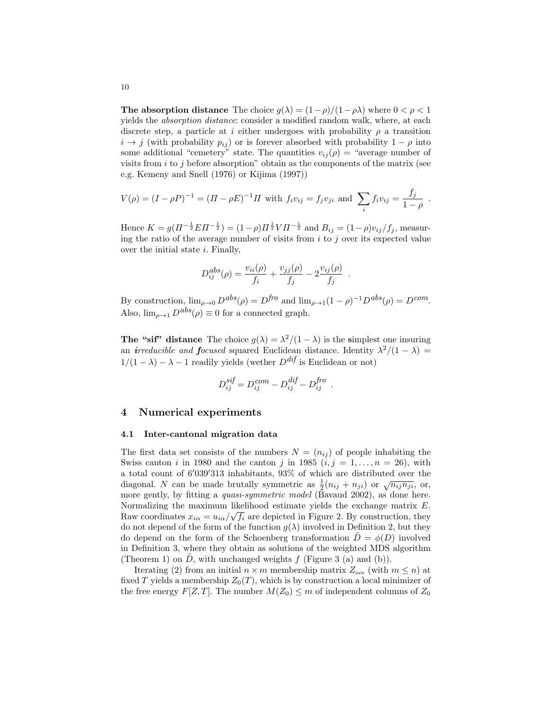**The absorption distance** The choice  $g(\lambda) = (1 - \rho)/(1 - \rho\lambda)$  where  $0 < \rho < 1$ yields the absorption distance: consider a modified random walk, where, at each discrete step, a particle at i either undergoes with probability  $\rho$  a transition  $i \rightarrow j$  (with probability  $p_{ij}$ ) or is forever absorbed with probability  $1 - \rho$  into some additional "cemetery" state. The quantities  $v_{ij}(\rho) =$  "average number of visits from  $i$  to  $j$  before absorption" obtain as the components of the matrix (see e.g. Kemeny and Snell (1976) or Kijima (1997))

$$
V(\rho) = (I - \rho P)^{-1} = (II - \rho E)^{-1} \Pi \text{ with } f_i v_{ij} = f_j v_{ji} \text{ and } \sum_i f_i v_{ij} = \frac{f_j}{1 - \rho}.
$$

Hence  $K = g(\Pi^{-\frac{1}{2}} E \Pi^{-\frac{1}{2}}) = (1 - \rho) \Pi^{\frac{1}{2}} V \Pi^{-\frac{1}{2}}$  and  $B_{ij} = (1 - \rho) v_{ij} / f_j$ , measuring the ratio of the average number of visits from  $i$  to  $j$  over its expected value over the initial state  $i$ . Finally,

$$
D_{ij}^{abs}(\rho) = \frac{v_{ii}(\rho)}{f_i} + \frac{v_{jj}(\rho)}{f_j} - 2\frac{v_{ij}(\rho)}{f_j} .
$$

By construction,  $\lim_{\rho \to 0} D^{abs}(\rho) = D^{fro}$  and  $\lim_{\rho \to 1} (1 - \rho)^{-1} D^{abs}(\rho) = D^{com}$ . Also,  $\lim_{\rho \to 1} D^{abs}(\rho) \equiv 0$  for a connected graph.

The "sif" distance The choice  $g(\lambda) = \frac{\lambda^2}{1 - \lambda}$  is the simplest one insuring an *irreducible and focused* squared Euclidean distance. Identity  $\lambda^2/(1-\lambda)$  =  $1/(1 - \lambda) - \lambda - 1$  readily yields (wether  $D^{dif}$  is Euclidean or not)

$$
D_{ij}^{sif} = D_{ij}^{com} - D_{ij}^{dif} - D_{ij}^{fro} .
$$

## 4 Numerical experiments

### 4.1 Inter-cantonal migration data

The first data set consists of the numbers  $N = (n_{ij})$  of people inhabiting the Swiss canton i in 1980 and the canton j in 1985  $(i, j = 1, \ldots, n = 26)$ , with a total count of  $6'039'313$  inhabitants,  $93\%$  of which are distributed over the diagonal. N can be made brutally symmetric as  $\frac{1}{2}(n_{ij} + n_{ji})$  or  $\sqrt{n_{ij}n_{ji}}$ , or, more gently, by fitting a quasi-symmetric model (Bavaud 2002), as done here. Normalizing the maximum likelihood estimate yields the exchange matrix  $E$ . Raw coordinates  $x_{i\alpha} = u_{i\alpha}/\sqrt{f_i}$  are depicted in Figure 2. By construction, they do not depend of the form of the function  $g(\lambda)$  involved in Definition 2, but they do depend on the form of the Schoenberg transformation  $\ddot{D} = \phi(D)$  involved in Definition 3, where they obtain as solutions of the weighted MDS algorithm (Theorem 1) on  $D$ , with unchanged weights  $f$  (Figure 3 (a) and (b)).

Iterating (2) from an initial  $n \times m$  membership matrix  $Z_{\text{init}}$  (with  $m \leq n$ ) at fixed T yields a membership  $Z_0(T)$ , which is by construction a local minimizer of the free energy  $F[Z,T]$ . The number  $M(Z_0) \leq m$  of independent columns of  $Z_0$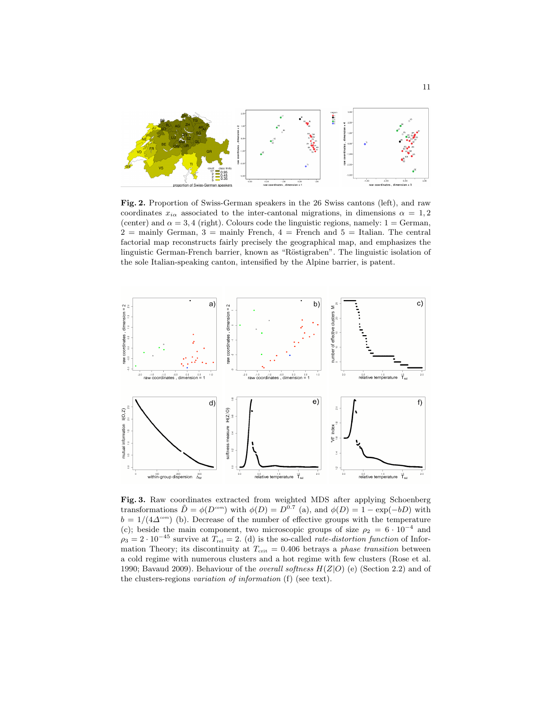

Fig. 2. Proportion of Swiss-German speakers in the 26 Swiss cantons (left), and raw coordinates  $x_{i\alpha}$  associated to the inter-cantonal migrations, in dimensions  $\alpha = 1, 2$ (center) and  $\alpha = 3, 4$  (right). Colours code the linguistic regions, namely:  $1 = \text{German}$ ,  $2 =$  mainly German,  $3 =$  mainly French,  $4 =$  French and  $5 =$  Italian. The central factorial map reconstructs fairly precisely the geographical map, and emphasizes the linguistic German-French barrier, known as "Röstigraben". The linguistic isolation of the sole Italian-speaking canton, intensified by the Alpine barrier, is patent.



Fig. 3. Raw coordinates extracted from weighted MDS after applying Schoenberg transformations  $\tilde{D} = \phi(D^{com})$  with  $\phi(D) = D^{\bar{0} \cdot 7}$  (a), and  $\phi(D) = 1 - \exp(-bD)$  with  $b = 1/(4\Delta^{\text{com}})$  (b). Decrease of the number of effective groups with the temperature (c); beside the main component, two microscopic groups of size  $\rho_2 = 6 \cdot 10^{-4}$  and  $\rho_3 = 2 \cdot 10^{-45}$  survive at  $T_{rel} = 2$ . (d) is the so-called *rate-distortion function* of Information Theory; its discontinuity at  $T_{\text{crit}} = 0.406$  betrays a phase transition between a cold regime with numerous clusters and a hot regime with few clusters (Rose et al. 1990; Bavaud 2009). Behaviour of the *overall softness*  $H(Z|O)$  (e) (Section 2.2) and of the clusters-regions variation of information (f) (see text).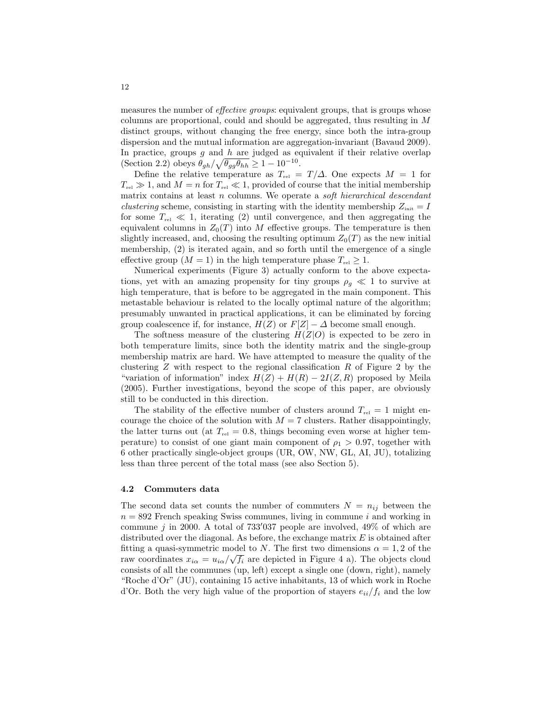measures the number of *effective groups*: equivalent groups, that is groups whose columns are proportional, could and should be aggregated, thus resulting in M distinct groups, without changing the free energy, since both the intra-group dispersion and the mutual information are aggregation-invariant (Bavaud 2009). In practice, groups  $g$  and  $h$  are judged as equivalent if their relative overlap (Section 2.2) obeys  $\theta_{gh} / \sqrt{\theta_{gg} \theta_{hh}} \geq 1 - 10^{-10}$ .

Define the relative temperature as  $T_{rel} = T/\Delta$ . One expects  $M = 1$  for  $T_{rel} \gg 1$ , and  $M = n$  for  $T_{rel} \ll 1$ , provided of course that the initial membership matrix contains at least  $n$  columns. We operate a *soft hierarchical descendant clustering* scheme, consisting in starting with the identity membership  $Z_{\text{init}} = I$ for some  $T_{rel} \ll 1$ , iterating (2) until convergence, and then aggregating the equivalent columns in  $Z_0(T)$  into M effective groups. The temperature is then slightly increased, and, choosing the resulting optimum  $Z_0(T)$  as the new initial membership, (2) is iterated again, and so forth until the emergence of a single effective group  $(M = 1)$  in the high temperature phase  $T_{rel} \geq 1$ .

Numerical experiments (Figure 3) actually conform to the above expectations, yet with an amazing propensity for tiny groups  $\rho_g \ll 1$  to survive at high temperature, that is before to be aggregated in the main component. This metastable behaviour is related to the locally optimal nature of the algorithm; presumably unwanted in practical applications, it can be eliminated by forcing group coalescence if, for instance,  $H(Z)$  or  $F[Z] - \Delta$  become small enough.

The softness measure of the clustering  $H(Z|O)$  is expected to be zero in both temperature limits, since both the identity matrix and the single-group membership matrix are hard. We have attempted to measure the quality of the clustering  $Z$  with respect to the regional classification  $R$  of Figure 2 by the "variation of information" index  $H(Z) + H(R) - 2I(Z, R)$  proposed by Meila (2005). Further investigations, beyond the scope of this paper, are obviously still to be conducted in this direction.

The stability of the effective number of clusters around  $T_{rel} = 1$  might encourage the choice of the solution with  $M = 7$  clusters. Rather disappointingly, the latter turns out (at  $T_{rel} = 0.8$ , things becoming even worse at higher temperature) to consist of one giant main component of  $\rho_1 > 0.97$ , together with 6 other practically single-object groups (UR, OW, NW, GL, AI, JU), totalizing less than three percent of the total mass (see also Section 5).

#### 4.2 Commuters data

The second data set counts the number of commuters  $N = n_{ij}$  between the  $n = 892$  French speaking Swiss communes, living in commune i and working in commune j in 2000. A total of  $733'037$  people are involved,  $49\%$  of which are distributed over the diagonal. As before, the exchange matrix  $E$  is obtained after fitting a quasi-symmetric model to N. The first two dimensions  $\alpha = 1, 2$  of the raw coordinates  $x_{i\alpha} = u_{i\alpha}/\sqrt{f_i}$  are depicted in Figure 4 a). The objects cloud consists of all the communes (up, left) except a single one (down, right), namely "Roche d'Or" (JU), containing 15 active inhabitants, 13 of which work in Roche d'Or. Both the very high value of the proportion of stayers  $e_{ii}/f_i$  and the low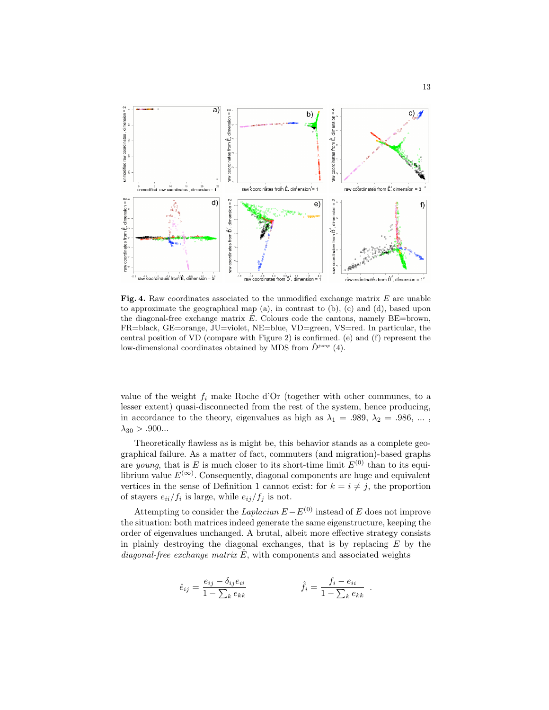

Fig. 4. Raw coordinates associated to the unmodified exchange matrix  $E$  are unable to approximate the geographical map (a), in contrast to (b), (c) and (d), based upon the diagonal-free exchange matrix  $\hat{E}$ . Colours code the cantons, namely BE=brown, FR=black, GE=orange, JU=violet, NE=blue, VD=green, VS=red. In particular, the central position of VD (compare with Figure 2) is confirmed. (e) and (f) represent the low-dimensional coordinates obtained by MDS from  $\ddot{D}^{jump}$  (4).

value of the weight  $f_i$  make Roche d'Or (together with other communes, to a lesser extent) quasi-disconnected from the rest of the system, hence producing, in accordance to the theory, eigenvalues as high as  $\lambda_1 = .989, \lambda_2 = .986, \dots$ ,  $\lambda_{30} > .900...$ 

Theoretically flawless as is might be, this behavior stands as a complete geographical failure. As a matter of fact, commuters (and migration)-based graphs are *young*, that is E is much closer to its short-time limit  $E^{(0)}$  than to its equilibrium value  $E^{(\infty)}$ . Consequently, diagonal components are huge and equivalent vertices in the sense of Definition 1 cannot exist: for  $k = i \neq j$ , the proportion of stayers  $e_{ii}/f_i$  is large, while  $e_{ij}/f_j$  is not.

Attempting to consider the Laplacian  $E - E^{(0)}$  instead of E does not improve the situation: both matrices indeed generate the same eigenstructure, keeping the order of eigenvalues unchanged. A brutal, albeit more effective strategy consists in plainly destroying the diagonal exchanges, that is by replacing  $E$  by the diagonal-free exchange matrix  $\hat{E}$ , with components and associated weights

$$
\hat{e}_{ij} = \frac{e_{ij} - \delta_{ij}e_{ii}}{1 - \sum_k e_{kk}} \qquad \qquad \hat{f}_i = \frac{f_i - e_{ii}}{1 - \sum_k e_{kk}}.
$$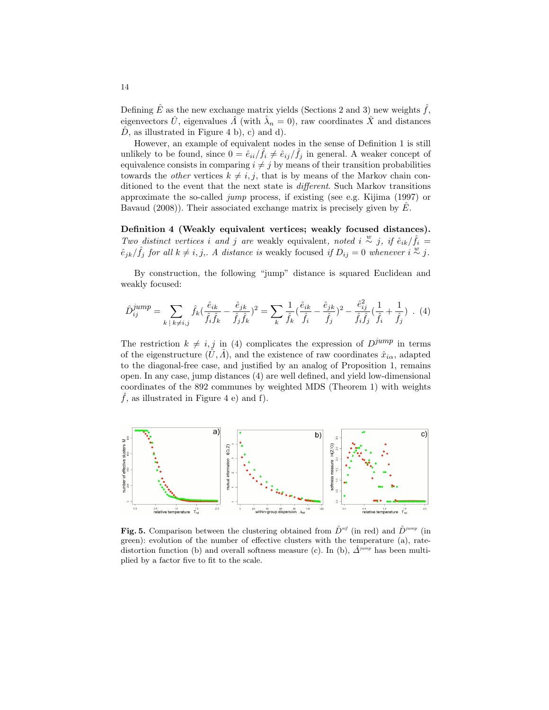Defining  $\hat{E}$  as the new exchange matrix yields (Sections 2 and 3) new weights  $\hat{f}$ , eigenvectors  $\hat{U}$ , eigenvalues  $\hat{A}$  (with  $\hat{\lambda}_n = 0$ ), raw coordinates  $\hat{X}$  and distances  $D$ , as illustrated in Figure 4 b), c) and d).

However, an example of equivalent nodes in the sense of Definition 1 is still unlikely to be found, since  $0 = \hat{e}_{ii}/\hat{f}_i \neq \hat{e}_{ij}/\hat{f}_j$  in general. A weaker concept of equivalence consists in comparing  $i \neq j$  by means of their transition probabilities towards the *other* vertices  $k \neq i, j$ , that is by means of the Markov chain conditioned to the event that the next state is different. Such Markov transitions approximate the so-called jump process, if existing (see e.g. Kijima (1997) or Bavaud  $(2008)$ ). Their associated exchange matrix is precisely given by E.

Definition 4 (Weakly equivalent vertices; weakly focused distances). Two distinct vertices i and j are weakly equivalent, noted i  $\stackrel{w}{\sim}$  j, if  $\hat{e}_{ik}/\hat{f}_i =$  $\hat{e}_{jk}/\hat{f}_j$  for all  $k \neq i, j$ . A distance is weakly focused if  $D_{ij} = 0$  whenever  $i \stackrel{w}{\sim} j$ .

By construction, the following "jump" distance is squared Euclidean and weakly focused:

$$
\hat{D}_{ij}^{jump} = \sum_{k \;|\; k \neq i,j} \hat{f}_k (\frac{\hat{e}_{ik}}{\hat{f}_i \hat{f}_k} - \frac{\hat{e}_{jk}}{\hat{f}_j \hat{f}_k})^2 = \sum_k \frac{1}{\hat{f}_k} (\frac{\hat{e}_{ik}}{\hat{f}_i} - \frac{\hat{e}_{jk}}{\hat{f}_j})^2 - \frac{\hat{e}_{ij}^2}{\hat{f}_i \hat{f}_j} (\frac{1}{\hat{f}_i} + \frac{1}{\hat{f}_j}) \quad (4)
$$

The restriction  $k \neq i, j$  in (4) complicates the expression of  $D^{jump}$  in terms of the eigenstructure  $(\hat{U}, \hat{A})$ , and the existence of raw coordinates  $\hat{x}_{i\alpha}$ , adapted to the diagonal-free case, and justified by an analog of Proposition 1, remains open. In any case, jump distances (4) are well defined, and yield low-dimensional coordinates of the 892 communes by weighted MDS (Theorem 1) with weights  $\hat{f}$ , as illustrated in Figure 4 e) and f).



**Fig. 5.** Comparison between the clustering obtained from  $\hat{D}^{sif}$  (in red) and  $\hat{D}^{jump}$  (in green): evolution of the number of effective clusters with the temperature (a), ratedistortion function (b) and overall softness measure (c). In (b),  $\hat{\Delta}^{jump}$  has been multiplied by a factor five to fit to the scale.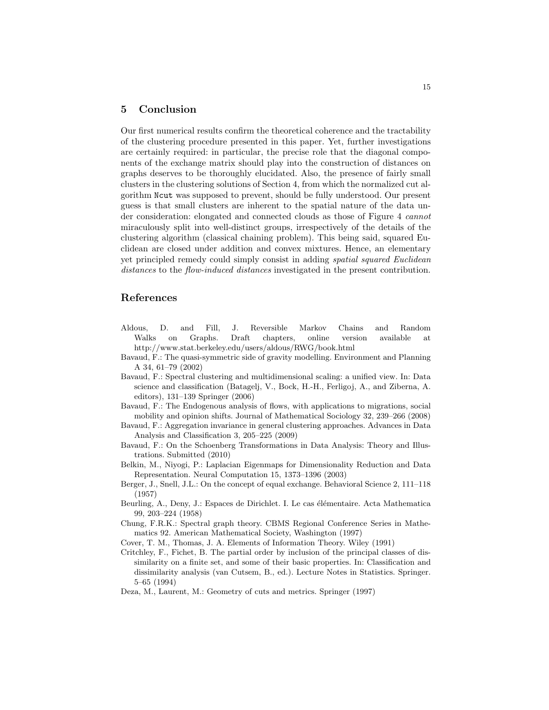# 5 Conclusion

Our first numerical results confirm the theoretical coherence and the tractability of the clustering procedure presented in this paper. Yet, further investigations are certainly required: in particular, the precise role that the diagonal components of the exchange matrix should play into the construction of distances on graphs deserves to be thoroughly elucidated. Also, the presence of fairly small clusters in the clustering solutions of Section 4, from which the normalized cut algorithm Ncut was supposed to prevent, should be fully understood. Our present guess is that small clusters are inherent to the spatial nature of the data under consideration: elongated and connected clouds as those of Figure 4 cannot miraculously split into well-distinct groups, irrespectively of the details of the clustering algorithm (classical chaining problem). This being said, squared Euclidean are closed under addition and convex mixtures. Hence, an elementary yet principled remedy could simply consist in adding spatial squared Euclidean distances to the flow-induced distances investigated in the present contribution.

# References

- Aldous, D. and Fill, J. Reversible Markov Chains and Random Walks on Graphs. Draft chapters, online version available at http://www.stat.berkeley.edu/users/aldous/RWG/book.html
- Bavaud, F.: The quasi-symmetric side of gravity modelling. Environment and Planning A 34, 61–79 (2002)
- Bavaud, F.: Spectral clustering and multidimensional scaling: a unified view. In: Data science and classification (Batagelj, V., Bock, H.-H., Ferligoj, A., and Ziberna, A. editors), 131–139 Springer (2006)
- Bavaud, F.: The Endogenous analysis of flows, with applications to migrations, social mobility and opinion shifts. Journal of Mathematical Sociology 32, 239–266 (2008)
- Bavaud, F.: Aggregation invariance in general clustering approaches. Advances in Data Analysis and Classification 3, 205–225 (2009)
- Bavaud, F.: On the Schoenberg Transformations in Data Analysis: Theory and Illustrations. Submitted (2010)
- Belkin, M., Niyogi, P.: Laplacian Eigenmaps for Dimensionality Reduction and Data Representation. Neural Computation 15, 1373–1396 (2003)
- Berger, J., Snell, J.L.: On the concept of equal exchange. Behavioral Science 2, 111–118 (1957)
- Beurling, A., Deny, J.: Espaces de Dirichlet. I. Le cas élémentaire. Acta Mathematica 99, 203–224 (1958)
- Chung, F.R.K.: Spectral graph theory. CBMS Regional Conference Series in Mathematics 92. American Mathematical Society, Washington (1997)
- Cover, T. M., Thomas, J. A. Elements of Information Theory. Wiley (1991)
- Critchley, F., Fichet, B. The partial order by inclusion of the principal classes of dissimilarity on a finite set, and some of their basic properties. In: Classification and dissimilarity analysis (van Cutsem, B., ed.). Lecture Notes in Statistics. Springer. 5–65 (1994)
- Deza, M., Laurent, M.: Geometry of cuts and metrics. Springer (1997)